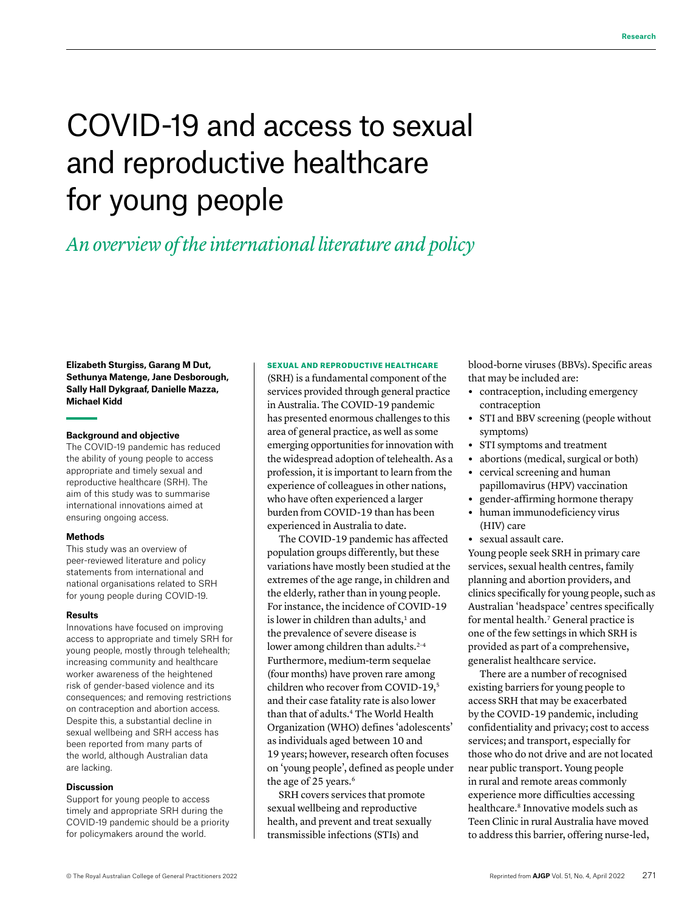# COVID-19 and access to sexual and reproductive healthcare for young people

# *An overview of the international literature and policy*

**Elizabeth Sturgiss, Garang M Dut, Sethunya Matenge, Jane Desborough, Sally Hall Dykgraaf, Danielle Mazza, Michael Kidd**

#### **Background and objective**

The COVID-19 pandemic has reduced the ability of young people to access appropriate and timely sexual and reproductive healthcare (SRH). The aim of this study was to summarise international innovations aimed at ensuring ongoing access.

#### **Methods**

This study was an overview of peer-reviewed literature and policy statements from international and national organisations related to SRH for young people during COVID-19.

#### **Results**

Innovations have focused on improving access to appropriate and timely SRH for young people, mostly through telehealth; increasing community and healthcare worker awareness of the heightened risk of gender-based violence and its consequences; and removing restrictions on contraception and abortion access. Despite this, a substantial decline in sexual wellbeing and SRH access has been reported from many parts of the world, although Australian data are lacking.

#### **Discussion**

Support for young people to access timely and appropriate SRH during the COVID-19 pandemic should be a priority for policymakers around the world.

#### SEXUAL AND REPRODUCTIVE HEALTHCARE

(SRH) is a fundamental component of the services provided through general practice in Australia. The COVID-19 pandemic has presented enormous challenges to this area of general practice, as well as some emerging opportunities for innovation with the widespread adoption of telehealth. As a profession, it is important to learn from the experience of colleagues in other nations, who have often experienced a larger burden from COVID-19 than has been experienced in Australia to date.

The COVID-19 pandemic has affected population groups differently, but these variations have mostly been studied at the extremes of the age range, in children and the elderly, rather than in young people. For instance, the incidence of COVID-19 is lower in children than adults,<sup>1</sup> and the prevalence of severe disease is lower among children than adults.<sup>2-4</sup> Furthermore, medium-term sequelae (four months) have proven rare among children who recover from COVID-19,<sup>5</sup> and their case fatality rate is also lower than that of adults.4 The World Health Organization (WHO) defines 'adolescents' as individuals aged between 10 and 19 years; however, research often focuses on 'young people', defined as people under the age of 25 years.<sup>6</sup>

SRH covers services that promote sexual wellbeing and reproductive health, and prevent and treat sexually transmissible infections (STIs) and

blood-borne viruses (BBVs). Specific areas that may be included are:

- **•** contraception, including emergency contraception
- **•** STI and BBV screening (people without symptoms)
- **•** STI symptoms and treatment
- **•** abortions (medical, surgical or both)
- **•** cervical screening and human papillomavirus (HPV) vaccination
- **•** gender-affirming hormone therapy
- **•** human immunodeficiency virus (HIV) care
- **•** sexual assault care.

Young people seek SRH in primary care services, sexual health centres, family planning and abortion providers, and clinics specifically for young people, such as Australian 'headspace' centres specifically for mental health.<sup>7</sup> General practice is one of the few settings in which SRH is provided as part of a comprehensive, generalist healthcare service.

There are a number of recognised existing barriers for young people to access SRH that may be exacerbated by the COVID-19 pandemic, including confidentiality and privacy; cost to access services; and transport, especially for those who do not drive and are not located near public transport. Young people in rural and remote areas commonly experience more difficulties accessing healthcare.<sup>8</sup> Innovative models such as Teen Clinic in rural Australia have moved to address this barrier, offering nurse-led,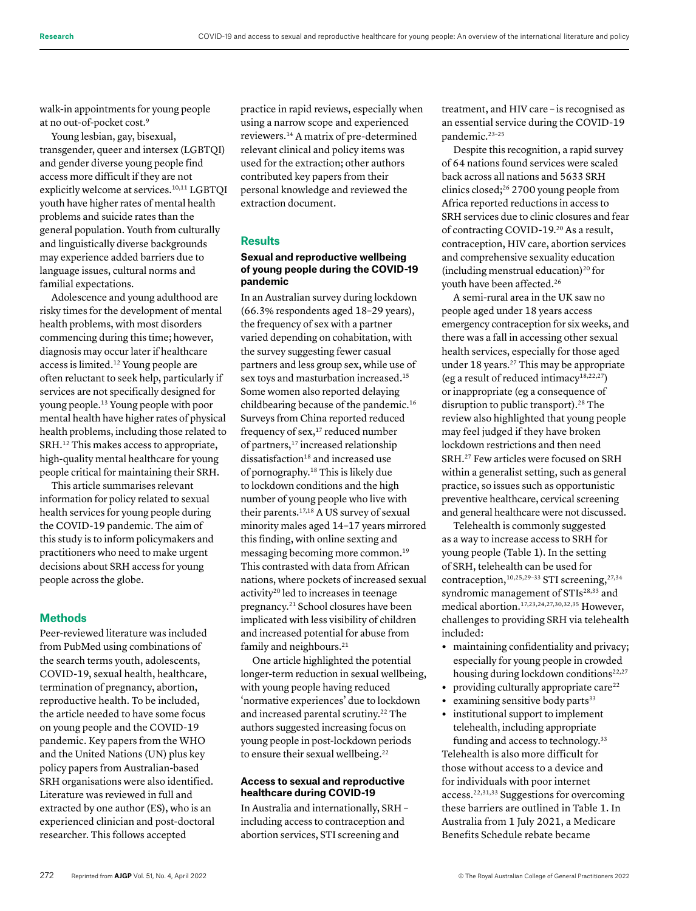walk-in appointments for young people at no out-of-pocket cost.9

Young lesbian, gay, bisexual, transgender, queer and intersex (LGBTQI) and gender diverse young people find access more difficult if they are not explicitly welcome at services.<sup>10,11</sup> LGBTQI youth have higher rates of mental health problems and suicide rates than the general population. Youth from culturally and linguistically diverse backgrounds may experience added barriers due to language issues, cultural norms and familial expectations.

Adolescence and young adulthood are risky times for the development of mental health problems, with most disorders commencing during this time; however, diagnosis may occur later if healthcare access is limited.12 Young people are often reluctant to seek help, particularly if services are not specifically designed for young people.13 Young people with poor mental health have higher rates of physical health problems, including those related to SRH.12 This makes access to appropriate, high-quality mental healthcare for young people critical for maintaining their SRH.

This article summarises relevant information for policy related to sexual health services for young people during the COVID-19 pandemic. The aim of this study is to inform policymakers and practitioners who need to make urgent decisions about SRH access for young people across the globe.

# **Methods**

Peer-reviewed literature was included from PubMed using combinations of the search terms youth, adolescents, COVID-19, sexual health, healthcare, termination of pregnancy, abortion, reproductive health. To be included, the article needed to have some focus on young people and the COVID-19 pandemic. Key papers from the WHO and the United Nations (UN) plus key policy papers from Australian-based SRH organisations were also identified. Literature was reviewed in full and extracted by one author (ES), who is an experienced clinician and post-doctoral researcher. This follows accepted

practice in rapid reviews, especially when using a narrow scope and experienced reviewers.14 A matrix of pre-determined relevant clinical and policy items was used for the extraction; other authors contributed key papers from their personal knowledge and reviewed the extraction document.

# **Results**

# **Sexual and reproductive wellbeing of young people during the COVID-19 pandemic**

In an Australian survey during lockdown (66.3% respondents aged 18–29 years), the frequency of sex with a partner varied depending on cohabitation, with the survey suggesting fewer casual partners and less group sex, while use of sex toys and masturbation increased.15 Some women also reported delaying childbearing because of the pandemic.<sup>16</sup> Surveys from China reported reduced frequency of sex,<sup>17</sup> reduced number of partners,<sup>17</sup> increased relationship dissatisfaction<sup>18</sup> and increased use of pornography.18 This is likely due to lockdown conditions and the high number of young people who live with their parents.<sup>17,18</sup> A US survey of sexual minority males aged 14–17 years mirrored this finding, with online sexting and messaging becoming more common.19 This contrasted with data from African nations, where pockets of increased sexual activity<sup>20</sup> led to increases in teenage pregnancy.21 School closures have been implicated with less visibility of children and increased potential for abuse from family and neighbours.<sup>21</sup>

One article highlighted the potential longer-term reduction in sexual wellbeing, with young people having reduced 'normative experiences' due to lockdown and increased parental scrutiny.<sup>22</sup> The authors suggested increasing focus on young people in post-lockdown periods to ensure their sexual wellbeing.<sup>22</sup>

#### **Access to sexual and reproductive healthcare during COVID-19**

In Australia and internationally, SRH – including access to contraception and abortion services, STI screening and

treatment, and HIV care – is recognised as an essential service during the COVID-19 pandemic.<sup>23-25</sup>

Despite this recognition, a rapid survey of 64 nations found services were scaled back across all nations and 5633 SRH clinics closed;26 2700 young people from Africa reported reductions in access to SRH services due to clinic closures and fear of contracting COVID-19.20 As a result, contraception, HIV care, abortion services and comprehensive sexuality education (including menstrual education)<sup>20</sup> for youth have been affected.26

A semi-rural area in the UK saw no people aged under 18 years access emergency contraception for six weeks, and there was a fall in accessing other sexual health services, especially for those aged under 18 years.<sup>27</sup> This may be appropriate (eg a result of reduced intimacy<sup>18,22,27</sup>) or inappropriate (eg a consequence of disruption to public transport).<sup>28</sup> The review also highlighted that young people may feel judged if they have broken lockdown restrictions and then need SRH.27 Few articles were focused on SRH within a generalist setting, such as general practice, so issues such as opportunistic preventive healthcare, cervical screening and general healthcare were not discussed.

Telehealth is commonly suggested as a way to increase access to SRH for young people (Table 1). In the setting of SRH, telehealth can be used for contraception,<sup>10,25,29-33</sup> STI screening,<sup>27,34</sup> syndromic management of STIs<sup>28,33</sup> and medical abortion.17,23,24,27,30,32,35 However, challenges to providing SRH via telehealth included:

- **•** maintaining confidentiality and privacy; especially for young people in crowded housing during lockdown conditions<sup>22,27</sup>
- providing culturally appropriate care<sup>22</sup>
- examining sensitive body parts<sup>33</sup>
- **•** institutional support to implement telehealth, including appropriate funding and access to technology.<sup>33</sup>

Telehealth is also more difficult for those without access to a device and for individuals with poor internet access.22,31,33 Suggestions for overcoming these barriers are outlined in Table 1. In Australia from 1 July 2021, a Medicare Benefits Schedule rebate became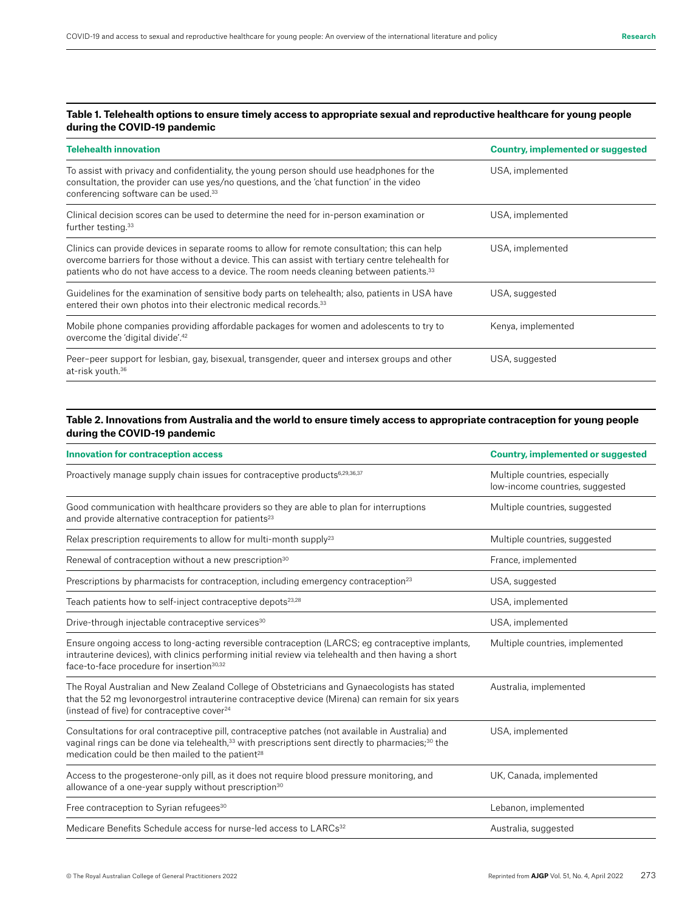# **Table 1. Telehealth options to ensure timely access to appropriate sexual and reproductive healthcare for young people during the COVID-19 pandemic**

| <b>Telehealth innovation</b>                                                                                                                                                                                                                                                                               | Country, implemented or suggested |
|------------------------------------------------------------------------------------------------------------------------------------------------------------------------------------------------------------------------------------------------------------------------------------------------------------|-----------------------------------|
| To assist with privacy and confidentiality, the young person should use headphones for the<br>consultation, the provider can use yes/no questions, and the 'chat function' in the video<br>conferencing software can be used. <sup>33</sup>                                                                | USA, implemented                  |
| Clinical decision scores can be used to determine the need for in-person examination or<br>further testing. <sup>33</sup>                                                                                                                                                                                  | USA, implemented                  |
| Clinics can provide devices in separate rooms to allow for remote consultation; this can help<br>overcome barriers for those without a device. This can assist with tertiary centre telehealth for<br>patients who do not have access to a device. The room needs cleaning between patients. <sup>33</sup> | USA, implemented                  |
| Guidelines for the examination of sensitive body parts on telehealth; also, patients in USA have<br>entered their own photos into their electronic medical records. <sup>33</sup>                                                                                                                          | USA, suggested                    |
| Mobile phone companies providing affordable packages for women and adolescents to try to<br>overcome the 'digital divide'. <sup>42</sup>                                                                                                                                                                   | Kenya, implemented                |
| Peer-peer support for lesbian, gay, bisexual, transgender, queer and intersex groups and other<br>at-risk youth. <sup>36</sup>                                                                                                                                                                             | USA, suggested                    |

# **Table 2. Innovations from Australia and the world to ensure timely access to appropriate contraception for young people during the COVID-19 pandemic**

| <b>Innovation for contraception access</b>                                                                                                                                                                                                                                                     | <b>Country, implemented or suggested</b>                          |
|------------------------------------------------------------------------------------------------------------------------------------------------------------------------------------------------------------------------------------------------------------------------------------------------|-------------------------------------------------------------------|
| Proactively manage supply chain issues for contraceptive products <sup>6,29,36,37</sup>                                                                                                                                                                                                        | Multiple countries, especially<br>low-income countries, suggested |
| Good communication with healthcare providers so they are able to plan for interruptions<br>and provide alternative contraception for patients <sup>23</sup>                                                                                                                                    | Multiple countries, suggested                                     |
| Relax prescription requirements to allow for multi-month supply <sup>23</sup>                                                                                                                                                                                                                  | Multiple countries, suggested                                     |
| Renewal of contraception without a new prescription <sup>30</sup>                                                                                                                                                                                                                              | France, implemented                                               |
| Prescriptions by pharmacists for contraception, including emergency contraception <sup>23</sup>                                                                                                                                                                                                | USA, suggested                                                    |
| Teach patients how to self-inject contraceptive depots <sup>23,28</sup>                                                                                                                                                                                                                        | USA, implemented                                                  |
| Drive-through injectable contraceptive services <sup>30</sup>                                                                                                                                                                                                                                  | USA, implemented                                                  |
| Ensure ongoing access to long-acting reversible contraception (LARCS; eg contraceptive implants,<br>intrauterine devices), with clinics performing initial review via telehealth and then having a short<br>face-to-face procedure for insertion <sup>30,32</sup>                              | Multiple countries, implemented                                   |
| The Royal Australian and New Zealand College of Obstetricians and Gynaecologists has stated<br>that the 52 mg levonorgestrol intrauterine contraceptive device (Mirena) can remain for six years<br>(instead of five) for contraceptive cover <sup>24</sup>                                    | Australia, implemented                                            |
| Consultations for oral contraceptive pill, contraceptive patches (not available in Australia) and<br>vaginal rings can be done via telehealth, <sup>33</sup> with prescriptions sent directly to pharmacies; <sup>30</sup> the<br>medication could be then mailed to the patient <sup>28</sup> | USA, implemented                                                  |
| Access to the progesterone-only pill, as it does not require blood pressure monitoring, and<br>allowance of a one-year supply without prescription <sup>30</sup>                                                                                                                               | UK, Canada, implemented                                           |
| Free contraception to Syrian refugees <sup>30</sup>                                                                                                                                                                                                                                            | Lebanon, implemented                                              |
| Medicare Benefits Schedule access for nurse-led access to LARCs <sup>32</sup>                                                                                                                                                                                                                  | Australia, suggested                                              |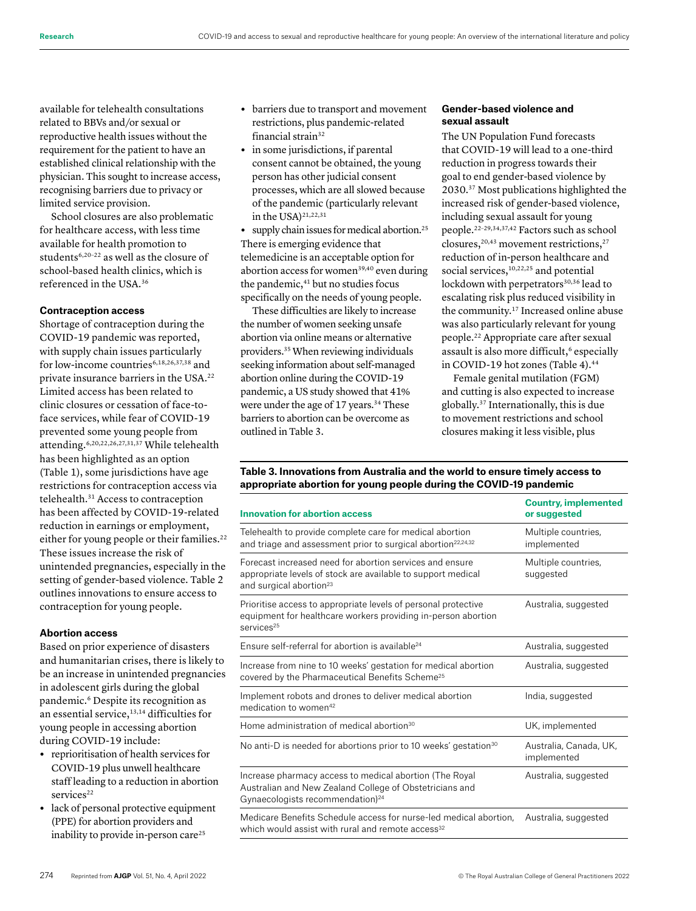available for telehealth consultations related to BBVs and/or sexual or reproductive health issues without the requirement for the patient to have an established clinical relationship with the physician. This sought to increase access, recognising barriers due to privacy or limited service provision.

School closures are also problematic for healthcare access, with less time available for health promotion to students<sup>6,20-22</sup> as well as the closure of school-based health clinics, which is referenced in the USA.36

#### **Contraception access**

Shortage of contraception during the COVID-19 pandemic was reported, with supply chain issues particularly for low-income countries<sup>6,18,26,37,38</sup> and private insurance barriers in the USA.22 Limited access has been related to clinic closures or cessation of face-toface services, while fear of COVID-19 prevented some young people from attending.<sup>6,20,22,26,27,31,37</sup> While telehealth has been highlighted as an option (Table 1), some jurisdictions have age restrictions for contraception access via telehealth.31 Access to contraception has been affected by COVID-19-related reduction in earnings or employment, either for young people or their families.<sup>22</sup> These issues increase the risk of unintended pregnancies, especially in the setting of gender-based violence. Table 2 outlines innovations to ensure access to contraception for young people.

### **Abortion access**

Based on prior experience of disasters and humanitarian crises, there is likely to be an increase in unintended pregnancies in adolescent girls during the global pandemic.6 Despite its recognition as an essential service,13,14 difficulties for young people in accessing abortion during COVID-19 include:

- **•** reprioritisation of health services for COVID-19 plus unwell healthcare staff leading to a reduction in abortion services<sup>22</sup>
- **•** lack of personal protective equipment (PPE) for abortion providers and inability to provide in-person care<sup>25</sup>
- **•** barriers due to transport and movement restrictions, plus pandemic-related financial strain32
- **•** in some jurisdictions, if parental consent cannot be obtained, the young person has other judicial consent processes, which are all slowed because of the pandemic (particularly relevant in the USA $)$ <sup>21,22,31</sup>

• supply chain issues for medical abortion.<sup>25</sup> There is emerging evidence that telemedicine is an acceptable option for abortion access for women<sup>39,40</sup> even during the pandemic,<sup>41</sup> but no studies focus specifically on the needs of young people.

These difficulties are likely to increase the number of women seeking unsafe abortion via online means or alternative providers.35 When reviewing individuals seeking information about self-managed abortion online during the COVID-19 pandemic, a US study showed that 41% were under the age of 17 years.<sup>34</sup> These barriers to abortion can be overcome as outlined in Table 3.

#### **Gender-based violence and sexual assault**

The UN Population Fund forecasts that COVID-19 will lead to a one-third reduction in progress towards their goal to end gender-based violence by 2030.37 Most publications highlighted the increased risk of gender-based violence, including sexual assault for young people.22–29,34,37,42 Factors such as school closures, $20,43$  movement restrictions, $27$ reduction of in-person healthcare and social services,<sup>10,22,25</sup> and potential lockdown with perpetrators<sup>30,36</sup> lead to escalating risk plus reduced visibility in the community.17 Increased online abuse was also particularly relevant for young people.22 Appropriate care after sexual assault is also more difficult,<sup>6</sup> especially in COVID-19 hot zones (Table 4).<sup>44</sup>

Female genital mutilation (FGM) and cutting is also expected to increase globally.37 Internationally, this is due to movement restrictions and school closures making it less visible, plus

**Table 3. Innovations from Australia and the world to ensure timely access to appropriate abortion for young people during the COVID-19 pandemic**

| <b>Innovation for abortion access</b>                                                                                                                              | <b>Country, implemented</b><br>or suggested |
|--------------------------------------------------------------------------------------------------------------------------------------------------------------------|---------------------------------------------|
| Telehealth to provide complete care for medical abortion<br>and triage and assessment prior to surgical abortion <sup>22,24,32</sup>                               | Multiple countries,<br>implemented          |
| Forecast increased need for abortion services and ensure<br>appropriate levels of stock are available to support medical<br>and surgical abortion <sup>23</sup>    | Multiple countries,<br>suggested            |
| Prioritise access to appropriate levels of personal protective<br>equipment for healthcare workers providing in-person abortion<br>services <sup>25</sup>          | Australia, suggested                        |
| Ensure self-referral for abortion is available <sup>24</sup>                                                                                                       | Australia, suggested                        |
| Increase from nine to 10 weeks' gestation for medical abortion<br>covered by the Pharmaceutical Benefits Scheme <sup>25</sup>                                      | Australia, suggested                        |
| Implement robots and drones to deliver medical abortion<br>medication to women <sup>42</sup>                                                                       | India, suggested                            |
| Home administration of medical abortion <sup>30</sup>                                                                                                              | UK, implemented                             |
| No anti-D is needed for abortions prior to 10 weeks' gestation <sup>30</sup>                                                                                       | Australia, Canada, UK,<br>implemented       |
| Increase pharmacy access to medical abortion (The Royal<br>Australian and New Zealand College of Obstetricians and<br>Gynaecologists recommendation) <sup>24</sup> | Australia, suggested                        |
| Medicare Benefits Schedule access for nurse-led medical abortion,<br>which would assist with rural and remote access <sup>32</sup>                                 | Australia, suggested                        |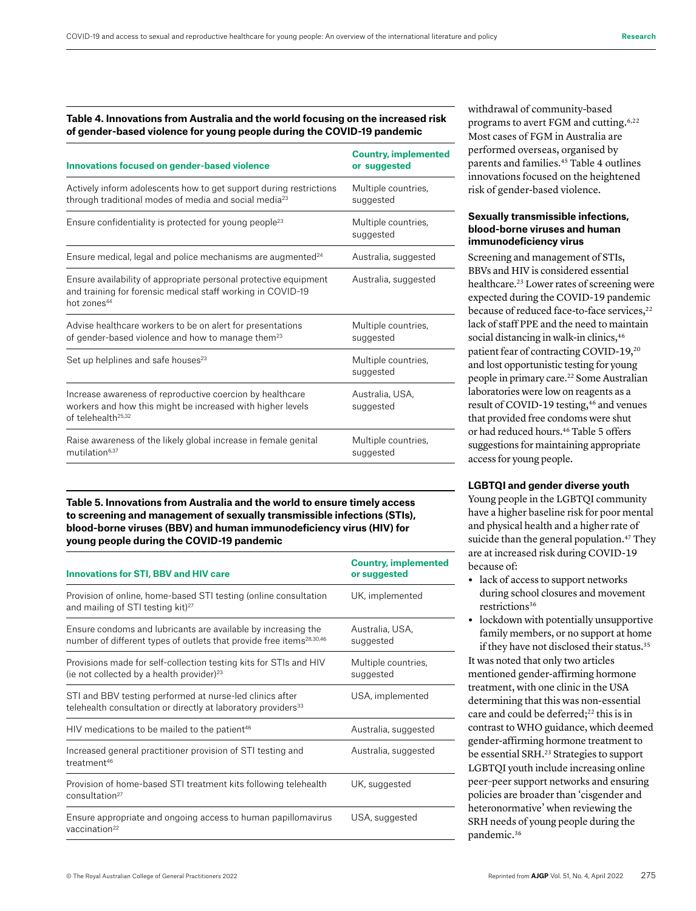#### **Table 4. Innovations from Australia and the world focusing on the increased risk of gender-based violence for young people during the COVID-19 pandemic**

| <b>Innovations focused on gender-based violence</b>                                                                                                        | <b>Country, implemented</b><br>or suggested |
|------------------------------------------------------------------------------------------------------------------------------------------------------------|---------------------------------------------|
| Actively inform adolescents how to get support during restrictions<br>through traditional modes of media and social media <sup>23</sup>                    | Multiple countries,<br>suggested            |
| Ensure confidentiality is protected for young people <sup>23</sup>                                                                                         | Multiple countries,<br>suggested            |
| Ensure medical, legal and police mechanisms are augmented <sup>24</sup>                                                                                    | Australia, suggested                        |
| Ensure availability of appropriate personal protective equipment<br>and training for forensic medical staff working in COVID-19<br>hot zones <sup>44</sup> | Australia, suggested                        |
| Advise healthcare workers to be on alert for presentations<br>of gender-based violence and how to manage them <sup>23</sup>                                | Multiple countries,<br>suggested            |
| Set up helplines and safe houses <sup>23</sup>                                                                                                             | Multiple countries,<br>suggested            |
| Increase awareness of reproductive coercion by healthcare<br>workers and how this might be increased with higher levels<br>of telehealth <sup>25,32</sup>  | Australia, USA,<br>suggested                |
| Raise awareness of the likely global increase in female genital<br>mutilation <sup>6,37</sup>                                                              | Multiple countries,<br>suggested            |

**Table 5. Innovations from Australia and the world to ensure timely access to screening and management of sexually transmissible infections (STIs), blood-borne viruses (BBV) and human immunodeficiency virus (HIV) for young people during the COVID-19 pandemic**

| <b>Innovations for STI, BBV and HIV care</b>                                                                                                      | <b>Country, implemented</b><br>or suggested |
|---------------------------------------------------------------------------------------------------------------------------------------------------|---------------------------------------------|
| Provision of online, home-based STI testing (online consultation<br>and mailing of STI testing kit) <sup>27</sup>                                 | UK, implemented                             |
| Ensure condoms and lubricants are available by increasing the<br>number of different types of outlets that provide free items <sup>28,30,46</sup> | Australia, USA,<br>suggested                |
| Provisions made for self-collection testing kits for STIs and HIV<br>(ie not collected by a health provider) $^{23}$                              | Multiple countries,<br>suggested            |
| STI and BBV testing performed at nurse-led clinics after<br>telehealth consultation or directly at laboratory providers <sup>33</sup>             | USA, implemented                            |
| HIV medications to be mailed to the patient <sup>46</sup>                                                                                         | Australia, suggested                        |
| Increased general practitioner provision of STI testing and<br>treatment <sup>46</sup>                                                            | Australia, suggested                        |
| Provision of home-based STI treatment kits following telehealth<br>consultation <sup>27</sup>                                                     | UK, suggested                               |
| Ensure appropriate and ongoing access to human papillomavirus<br>vaccination $22$                                                                 | USA, suggested                              |

withdrawal of community-based programs to avert FGM and cutting.<sup>6,22</sup> Most cases of FGM in Australia are performed overseas, organised by parents and families.45 Table 4 outlines innovations focused on the heightened risk of gender-based violence.

### **Sexually transmissible infections, blood-borne viruses and human immunodeficiency virus**

Screening and management of STIs, BBVs and HIV is considered essential healthcare.<sup>23</sup> Lower rates of screening were expected during the COVID-19 pandemic because of reduced face-to-face services,<sup>22</sup> lack of staff PPE and the need to maintain social distancing in walk-in clinics, 46 patient fear of contracting COVID-19,20 and lost opportunistic testing for young people in primary care.22 Some Australian laboratories were low on reagents as a result of COVID-19 testing,<sup>46</sup> and venues that provided free condoms were shut or had reduced hours.46 Table 5 offers suggestions for maintaining appropriate access for young people.

#### **LGBTQI and gender diverse youth**

Young people in the LGBTQI community have a higher baseline risk for poor mental and physical health and a higher rate of suicide than the general population.<sup>47</sup> They are at increased risk during COVID-19 because of:

- **•** lack of access to support networks during school closures and movement restrictions36
- **•** lockdown with potentially unsupportive family members, or no support at home if they have not disclosed their status.<sup>35</sup>

It was noted that only two articles mentioned gender-affirming hormone treatment, with one clinic in the USA determining that this was non-essential care and could be deferred;<sup>22</sup> this is in contrast to WHO guidance, which deemed gender-affirming hormone treatment to be essential SRH.<sup>23</sup> Strategies to support LGBTQI youth include increasing online peer–peer support networks and ensuring policies are broader than 'cisgender and heteronormative' when reviewing the SRH needs of young people during the pandemic.<sup>36</sup>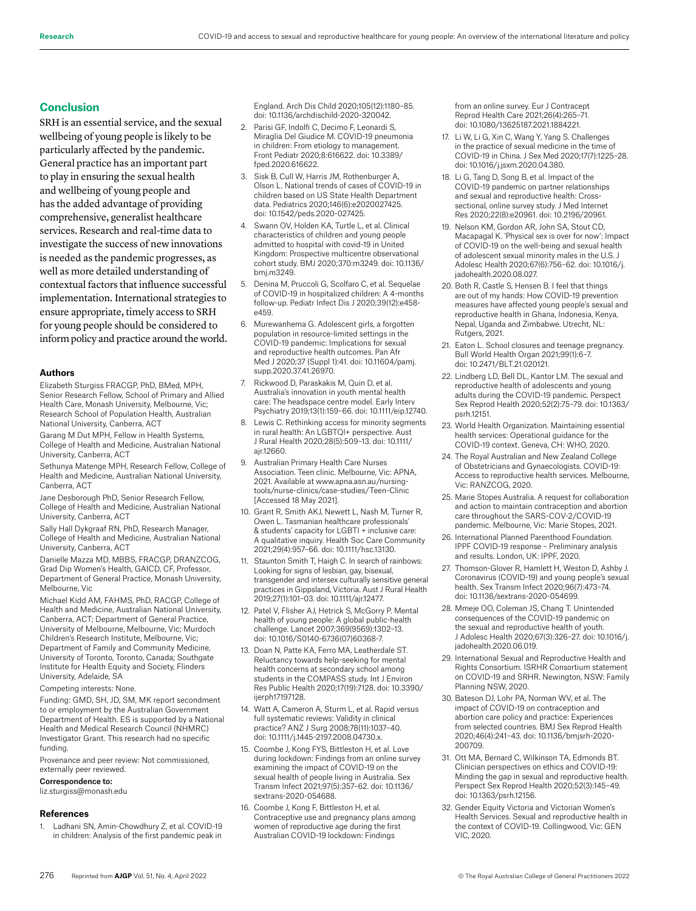# **Conclusion**

SRH is an essential service, and the sexual wellbeing of young people is likely to be particularly affected by the pandemic. General practice has an important part to play in ensuring the sexual health and wellbeing of young people and has the added advantage of providing comprehensive, generalist healthcare services. Research and real-time data to investigate the success of new innovations is needed as the pandemic progresses, as well as more detailed understanding of contextual factors that influence successful implementation. International strategies to ensure appropriate, timely access to SRH for young people should be considered to inform policy and practice around the world.

#### **Authors**

Elizabeth Sturgiss FRACGP, PhD, BMed, MPH, Senior Research Fellow, School of Primary and Allied Health Care, Monash University, Melbourne, Vic; Research School of Population Health, Australian National University, Canberra, ACT

Garang M Dut MPH, Fellow in Health Systems, College of Health and Medicine, Australian National University, Canberra, ACT

Sethunya Matenge MPH, Research Fellow, College of Health and Medicine, Australian National University, Canberra, ACT

Jane Desborough PhD, Senior Research Fellow, College of Health and Medicine, Australian National University, Canberra, ACT

Sally Hall Dykgraaf RN, PhD, Research Manager, College of Health and Medicine, Australian National University, Canberra, ACT

Danielle Mazza MD, MBBS, FRACGP, DRANZCOG, Grad Dip Women's Health, GAICD, CF, Professor, Department of General Practice, Monash University, Melbourne, Vic

Michael Kidd AM, FAHMS, PhD, RACGP, College of Health and Medicine, Australian National University, Canberra, ACT; Department of General Practice, University of Melbourne, Melbourne, Vic; Murdoch Children's Research Institute, Melbourne, Vic; Department of Family and Community Medicine, University of Toronto, Toronto, Canada; Southgate Institute for Health Equity and Society, Flinders University, Adelaide, SA

Competing interests: None.

Funding: GMD, SH, JD, SM, MK report secondment to or employment by the Australian Government Department of Health. ES is supported by a National Health and Medical Research Council (NHMRC) Investigator Grant. This research had no specific funding.

Provenance and peer review: Not commissioned, externally peer reviewed.

#### Correspondence to:

liz.sturgiss@monash.edu

#### **References**

1. Ladhani SN, Amin-Chowdhury Z, et al. COVID-19 in children: Analysis of the first pandemic peak in England. Arch Dis Child 2020;105(12):1180–85. doi: 10.1136/archdischild-2020-320042.

- 2. Parisi GF, Indolfi C, Decimo F, Leonardi S, Miraglia Del Giudice M. COVID-19 pneumonia in children: From etiology to management. Front Pediatr 2020;8:616622. doi: 10.3389/ fped.2020.616622.
- 3. Sisk B, Cull W, Harris JM, Rothenburger A, Olson L. National trends of cases of COVID-19 in children based on US State Health Department data. Pediatrics 2020;146(6):e2020027425. doi: 10.1542/peds.2020-027425.
- 4. Swann OV, Holden KA, Turtle L, et al. Clinical characteristics of children and young people admitted to hospital with covid-19 in United Kingdom: Prospective multicentre observational cohort study. BMJ 2020;370:m3249. doi: 10.1136/ bmj.m3249.
- 5. Denina M, Pruccoli G, Scolfaro C, et al. Sequelae of COVID-19 in hospitalized children: A 4-months follow-up. Pediatr Infect Dis J 2020;39(12):e458 e459.
- 6. Murewanhema G. Adolescent girls, a forgotten population in resource-limited settings in the COVID-19 pandemic: Implications for sexual and reproductive health outcomes. Pan Afr Med J 2020;37 (Suppl 1):41. doi: 10.11604/pamj. supp.2020.37.41.26970.
- 7. Rickwood D, Paraskakis M, Quin D, et al. Australia's innovation in youth mental health care: The headspace centre model. Early Interv Psychiatry 2019;13(1):159–66. doi: 10.1111/eip.12740.
- 8. Lewis C. Rethinking access for minority segments in rural health: An LGBTQI+ perspective. Aust J Rural Health 2020;28(5):509–13. doi: 10.1111/ ajr.12660.
- 9. Australian Primary Health Care Nurses Association. Teen clinic. Melbourne, Vic: APNA, 2021. Available at www.apna.asn.au/nursingtools/nurse-clinics/case-studies/Teen-Clinic [Accessed 18 May 2021].
- 10. Grant R, Smith AKJ, Newett L, Nash M, Turner R, Owen L. Tasmanian healthcare professionals' & students' capacity for LGBTI + inclusive care: A qualitative inquiry. Health Soc Care Community 2021;29(4):957–66. doi: 10.1111/hsc.13130.
- 11. Staunton Smith T, Haigh C. In search of rainbows: Looking for signs of lesbian, gay, bisexual, transgender and intersex culturally sensitive general practices in Gippsland, Victoria. Aust J Rural Health 2019;27(1):101–03. doi: 10.1111/ajr.12477.
- 12. Patel V, Flisher AJ, Hetrick S, McGorry P. Mental health of young people: A global public-health challenge. Lancet 2007;369(9569):1302–13. doi: 10.1016/S0140-6736(07)60368-7.
- 13. Doan N, Patte KA, Ferro MA, Leatherdale ST. Reluctancy towards help-seeking for mental health concerns at secondary school among students in the COMPASS study. Int J Environ Res Public Health 2020;17(19):7128. doi: 10.3390/ ijerph17197128.
- 14. Watt A, Cameron A, Sturm L, et al. Rapid versus full systematic reviews: Validity in clinical practice? ANZ J Surg 2008;78(11):1037–40. doi: 10.1111/j.1445-2197.2008.04730.x.
- 15. Coombe J, Kong FYS, Bittleston H, et al. Love during lockdown: Findings from an online survey examining the impact of COVID-19 on the sexual health of people living in Australia. Sex Transm Infect 2021;97(5):357–62. doi: 10.1136/ sextrans-2020-054688.
- 16. Coombe J, Kong F, Bittleston H, et al. Contraceptive use and pregnancy plans among women of reproductive age during the first Australian COVID-19 lockdown: Findings

from an online survey. Eur J Contracept Reprod Health Care 2021;26(4):265–71. doi: 10.1080/13625187.2021.1884221.

- 17. Li W, Li G, Xin C, Wang Y, Yang S. Challenges in the practice of sexual medicine in the time of COVID-19 in China. J Sex Med 2020;17(7):1225–28. doi: 10.1016/j.jsxm.2020.04.380.
- 18. Li G, Tang D, Song B, et al. Impact of the COVID-19 pandemic on partner relationships and sexual and reproductive health: Crosssectional, online survey study. J Med Internet Res 2020;22(8):e20961. doi: 10.2196/20961.
- 19. Nelson KM, Gordon AR, John SA, Stout CD, Macapagal K. 'Physical sex is over for now': Impact of COVID-19 on the well-being and sexual health of adolescent sexual minority males in the U.S. J Adolesc Health 2020;67(6):756–62. doi: 10.1016/j. jadohealth.2020.08.027.
- 20. Both R, Castle S, Hensen B. I feel that things are out of my hands: How COVID-19 prevention measures have affected young people's sexual and reproductive health in Ghana, Indonesia, Kenya, Nepal, Uganda and Zimbabwe. Utrecht, NL: Rutgers, 2021.
- 21. Eaton L. School closures and teenage pregnancy. Bull World Health Organ 2021;99(1):6–7. doi: 10.2471/BLT.21.020121.
- 22. Lindberg LD, Bell DL, Kantor LM. The sexual and reproductive health of adolescents and young adults during the COVID-19 pandemic. Perspect Sex Reprod Health 2020;52(2):75–79. doi: 10.1363/ psrh.12151.
- 23. World Health Organization. Maintaining essential health services: Operational guidance for the COVID-19 context. Geneva, CH: WHO, 2020.
- 24. The Royal Australian and New Zealand College of Obstetricians and Gynaecologists. COVID-19: Access to reproductive health services. Melbourne, Vic: RANZCOG, 2020.
- 25. Marie Stopes Australia. A request for collaboration and action to maintain contraception and abortion care throughout the SARS-COV-2/COVID-19 pandemic. Melbourne, Vic: Marie Stopes, 2021.
- 26. International Planned Parenthood Foundation. IPPF COVID-19 response – Preliminary analysis and results. London, UK: IPPF, 2020.
- 27. Thomson-Glover R, Hamlett H, Weston D, Ashby J. Coronavirus (COVID-19) and young people's sexual health. Sex Transm Infect 2020;96(7):473–74. doi: 10.1136/sextrans-2020-054699.
- 28. Mmeje OO, Coleman JS, Chang T. Unintended consequences of the COVID-19 pandemic on the sexual and reproductive health of youth. J Adolesc Health 2020;67(3):326–27. doi: 10.1016/j. jadohealth.2020.06.019.
- 29. International Sexual and Reproductive Health and Rights Consortium. ISRHR Consortium statement on COVID-19 and SRHR. Newington, NSW: Family Planning NSW, 2020.
- 30. Bateson DJ, Lohr PA, Norman WV, et al. The impact of COVID-19 on contraception and abortion care policy and practice: Experiences from selected countries. BMJ Sex Reprod Health 2020;46(4):241–43. doi: 10.1136/bmjsrh-2020- 200709.
- 31. Ott MA, Bernard C, Wilkinson TA, Edmonds BT. Clinician perspectives on ethics and COVID-19: Minding the gap in sexual and reproductive health. Perspect Sex Reprod Health 2020;52(3):145–49. doi: 10.1363/psrh.12156.
- 32. Gender Equity Victoria and Victorian Women's Health Services. Sexual and reproductive health in the context of COVID-19. Collingwood, Vic: GEN VIC, 2020.